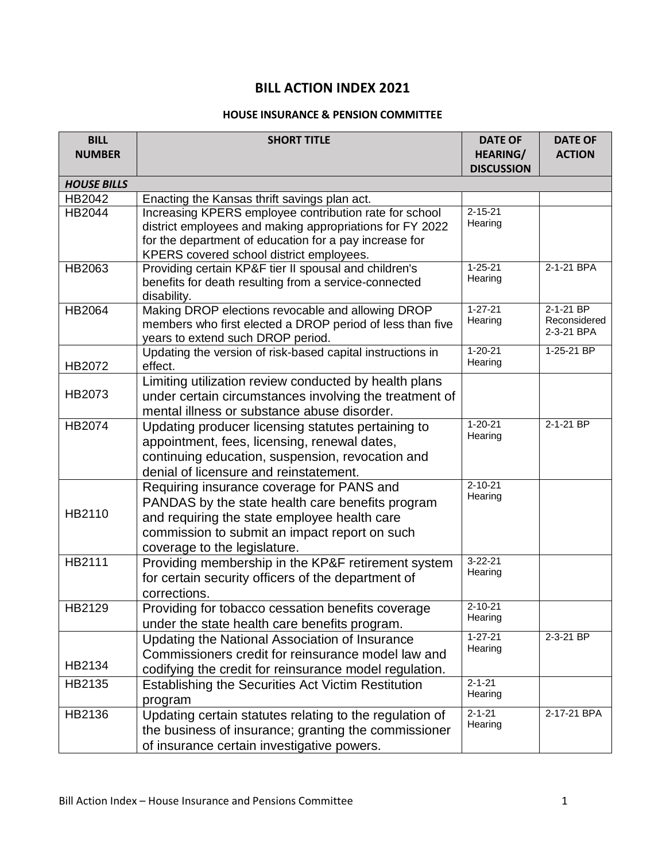## **BILL ACTION INDEX 2021**

## **HOUSE INSURANCE & PENSION COMMITTEE**

| <b>BILL</b>        | <b>SHORT TITLE</b>                                         | <b>DATE OF</b>                       | <b>DATE OF</b>             |
|--------------------|------------------------------------------------------------|--------------------------------------|----------------------------|
| <b>NUMBER</b>      |                                                            | <b>HEARING/</b><br><b>DISCUSSION</b> | <b>ACTION</b>              |
| <b>HOUSE BILLS</b> |                                                            |                                      |                            |
| HB2042             | Enacting the Kansas thrift savings plan act.               |                                      |                            |
| HB2044             | Increasing KPERS employee contribution rate for school     | $2 - 15 - 21$                        |                            |
|                    | district employees and making appropriations for FY 2022   | Hearing                              |                            |
|                    | for the department of education for a pay increase for     |                                      |                            |
|                    | KPERS covered school district employees.                   |                                      |                            |
| HB2063             | Providing certain KP&F tier II spousal and children's      | $1 - 25 - 21$                        | 2-1-21 BPA                 |
|                    | benefits for death resulting from a service-connected      | Hearing                              |                            |
|                    | disability.                                                |                                      |                            |
| HB2064             | Making DROP elections revocable and allowing DROP          | $1 - 27 - 21$                        | $2 - 1 - 21$ BP            |
|                    | members who first elected a DROP period of less than five  | Hearing                              | Reconsidered<br>2-3-21 BPA |
|                    | years to extend such DROP period.                          |                                      |                            |
|                    | Updating the version of risk-based capital instructions in | $1 - 20 - 21$                        | 1-25-21 BP                 |
| HB2072             | effect.                                                    | Hearing                              |                            |
|                    | Limiting utilization review conducted by health plans      |                                      |                            |
| HB2073             | under certain circumstances involving the treatment of     |                                      |                            |
|                    | mental illness or substance abuse disorder.                |                                      |                            |
| HB2074             | Updating producer licensing statutes pertaining to         | $1 - 20 - 21$<br>Hearing             | 2-1-21 BP                  |
|                    | appointment, fees, licensing, renewal dates,               |                                      |                            |
|                    | continuing education, suspension, revocation and           |                                      |                            |
|                    | denial of licensure and reinstatement.                     |                                      |                            |
|                    | Requiring insurance coverage for PANS and                  | $2 - 10 - 21$                        |                            |
|                    | PANDAS by the state health care benefits program           | Hearing                              |                            |
| HB2110             | and requiring the state employee health care               |                                      |                            |
|                    | commission to submit an impact report on such              |                                      |                            |
|                    | coverage to the legislature.                               |                                      |                            |
| HB2111             | Providing membership in the KP&F retirement system         | $3 - 22 - 21$                        |                            |
|                    | for certain security officers of the department of         | Hearing                              |                            |
|                    | corrections.                                               |                                      |                            |
| HB2129             | Providing for tobacco cessation benefits coverage          | $2 - 10 - 21$                        |                            |
|                    | under the state health care benefits program.              | Hearing                              |                            |
|                    | Updating the National Association of Insurance             | $1 - 27 - 21$                        | $2 - 3 - 21$ BP            |
|                    | Commissioners credit for reinsurance model law and         | Hearing                              |                            |
| HB2134             | codifying the credit for reinsurance model regulation.     |                                      |                            |
| HB2135             | Establishing the Securities Act Victim Restitution         | $2 - 1 - 21$                         |                            |
|                    | program                                                    | Hearing                              |                            |
| HB2136             | Updating certain statutes relating to the regulation of    | $2 - 1 - 21$                         | 2-17-21 BPA                |
|                    | the business of insurance; granting the commissioner       | Hearing                              |                            |
|                    | of insurance certain investigative powers.                 |                                      |                            |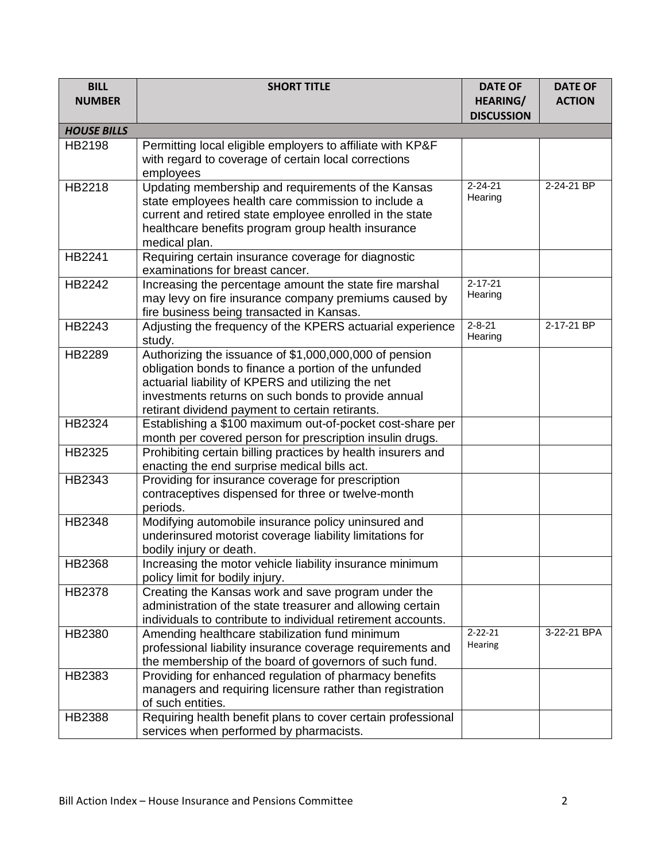| <b>BILL</b><br><b>NUMBER</b> | <b>SHORT TITLE</b>                                                                                                                                                                                                                                                              | <b>DATE OF</b><br><b>HEARING/</b> | <b>DATE OF</b><br><b>ACTION</b> |
|------------------------------|---------------------------------------------------------------------------------------------------------------------------------------------------------------------------------------------------------------------------------------------------------------------------------|-----------------------------------|---------------------------------|
|                              |                                                                                                                                                                                                                                                                                 | <b>DISCUSSION</b>                 |                                 |
| <b>HOUSE BILLS</b>           |                                                                                                                                                                                                                                                                                 |                                   |                                 |
| HB2198                       | Permitting local eligible employers to affiliate with KP&F<br>with regard to coverage of certain local corrections<br>employees                                                                                                                                                 |                                   |                                 |
| HB2218                       | Updating membership and requirements of the Kansas<br>state employees health care commission to include a<br>current and retired state employee enrolled in the state<br>healthcare benefits program group health insurance<br>medical plan.                                    | $2 - 24 - 21$<br>Hearing          | 2-24-21 BP                      |
| HB2241                       | Requiring certain insurance coverage for diagnostic<br>examinations for breast cancer.                                                                                                                                                                                          |                                   |                                 |
| HB2242                       | Increasing the percentage amount the state fire marshal<br>may levy on fire insurance company premiums caused by<br>fire business being transacted in Kansas.                                                                                                                   | $2 - 17 - 21$<br>Hearing          |                                 |
| HB2243                       | Adjusting the frequency of the KPERS actuarial experience<br>study.                                                                                                                                                                                                             | $2 - 8 - 21$<br>Hearing           | 2-17-21 BP                      |
| HB2289                       | Authorizing the issuance of \$1,000,000,000 of pension<br>obligation bonds to finance a portion of the unfunded<br>actuarial liability of KPERS and utilizing the net<br>investments returns on such bonds to provide annual<br>retirant dividend payment to certain retirants. |                                   |                                 |
| HB2324                       | Establishing a \$100 maximum out-of-pocket cost-share per<br>month per covered person for prescription insulin drugs.                                                                                                                                                           |                                   |                                 |
| HB2325                       | Prohibiting certain billing practices by health insurers and<br>enacting the end surprise medical bills act.                                                                                                                                                                    |                                   |                                 |
| HB2343                       | Providing for insurance coverage for prescription<br>contraceptives dispensed for three or twelve-month<br>periods.                                                                                                                                                             |                                   |                                 |
| HB2348                       | Modifying automobile insurance policy uninsured and<br>underinsured motorist coverage liability limitations for<br>bodily injury or death.                                                                                                                                      |                                   |                                 |
| HB2368                       | Increasing the motor vehicle liability insurance minimum<br>policy limit for bodily injury.                                                                                                                                                                                     |                                   |                                 |
| HB2378                       | Creating the Kansas work and save program under the<br>administration of the state treasurer and allowing certain<br>individuals to contribute to individual retirement accounts.                                                                                               |                                   |                                 |
| HB2380                       | Amending healthcare stabilization fund minimum<br>professional liability insurance coverage requirements and<br>the membership of the board of governors of such fund.                                                                                                          | $2 - 22 - 21$<br>Hearing          | 3-22-21 BPA                     |
| HB2383                       | Providing for enhanced regulation of pharmacy benefits<br>managers and requiring licensure rather than registration<br>of such entities.                                                                                                                                        |                                   |                                 |
| HB2388                       | Requiring health benefit plans to cover certain professional<br>services when performed by pharmacists.                                                                                                                                                                         |                                   |                                 |